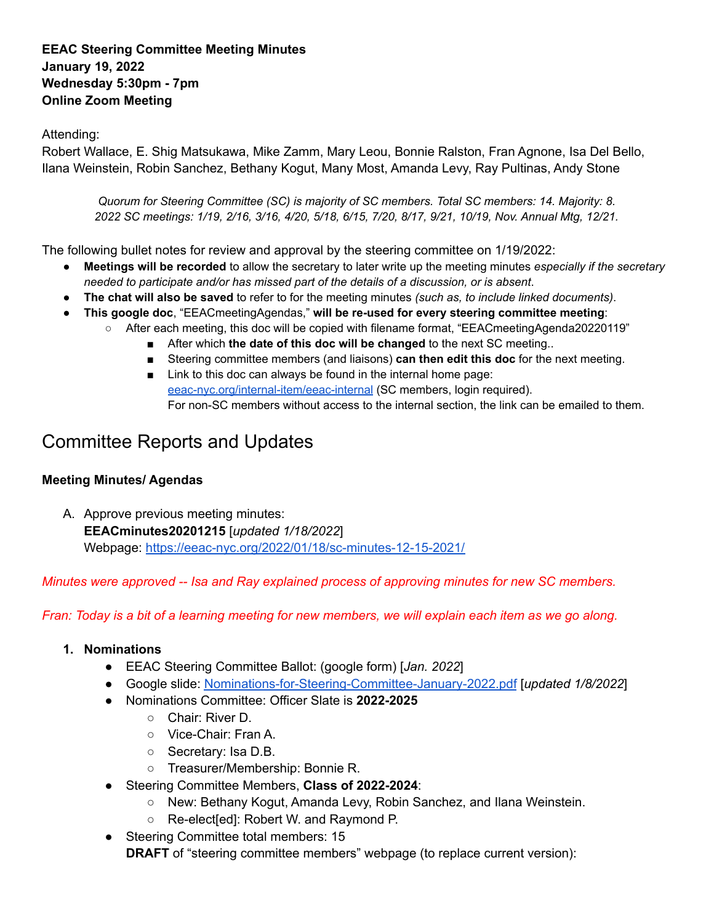# **EEAC Steering Committee Meeting Minutes January 19, 2022 Wednesday 5:30pm - 7pm Online Zoom Meeting**

# Attending:

Robert Wallace, E. Shig Matsukawa, Mike Zamm, Mary Leou, Bonnie Ralston, Fran Agnone, Isa Del Bello, Ilana Weinstein, Robin Sanchez, Bethany Kogut, Many Most, Amanda Levy, Ray Pultinas, Andy Stone

*Quorum for Steering Committee (SC) is majority of SC members. Total SC members: 14. Majority: 8. 2022 SC meetings: 1/19, 2/16, 3/16, 4/20, 5/18, 6/15, 7/20, 8/17, 9/21, 10/19, Nov. Annual Mtg, 12/21.*

The following bullet notes for review and approval by the steering committee on 1/19/2022:

- **Meetings will be recorded** to allow the secretary to later write up the meeting minutes *especially if the secretary needed to participate and/or has missed part of the details of a discussion, or is absent*.
- **The chat will also be saved** to refer to for the meeting minutes *(such as, to include linked documents)*.
- **This google doc**, "EEACmeetingAgendas," **will be re-used for every steering committee meeting**:
	- After each meeting, this doc will be copied with filename format, "EEACmeetingAgenda20220119"
		- After which **the date of this doc will be changed** to the next SC meeting..
		- Steering committee members (and liaisons) **can then edit this doc** for the next meeting.
		- Link to this doc can always be found in the internal home page: [eeac-nyc.org/internal-item/eeac-internal](https://eeac-nyc.org/internal-item/eeac-internal/) (SC members, login required). For non-SC members without access to the internal section, the link can be emailed to them.

# Committee Reports and Updates

# **Meeting Minutes/ Agendas**

A. Approve previous meeting minutes: **EEACminutes20201215** [*updated 1/18/2022*] Webpage: <https://eeac-nyc.org/2022/01/18/sc-minutes-12-15-2021/>

*Minutes were approved -- Isa and Ray explained process of approving minutes for new SC members.*

Fran: Today is a bit of a learning meeting for new members, we will explain each item as we go along.

# **1. Nominations**

- EEAC Steering Committee Ballot: (google form) [*Jan. 2022*]
- Google slide: [Nominations-for-Steering-Committee-January-2022.pdf](https://eeac-nyc.org/wp-content/uploads/2022/01/Nominations-for-Steering-Committee-January-2022.pdf) [*updated 1/8/2022*]
- Nominations Committee: Officer Slate is **2022-2025**
	- Chair: River D.
	- Vice-Chair: Fran A.
	- Secretary: Isa D.B.
	- Treasurer/Membership: Bonnie R.
- Steering Committee Members, **Class of 2022-2024**:
	- New: Bethany Kogut, Amanda Levy, Robin Sanchez, and Ilana Weinstein.
	- Re-elect[ed]: Robert W. and Raymond P.
- Steering Committee total members: 15 **DRAFT** of "steering committee members" webpage (to replace current version):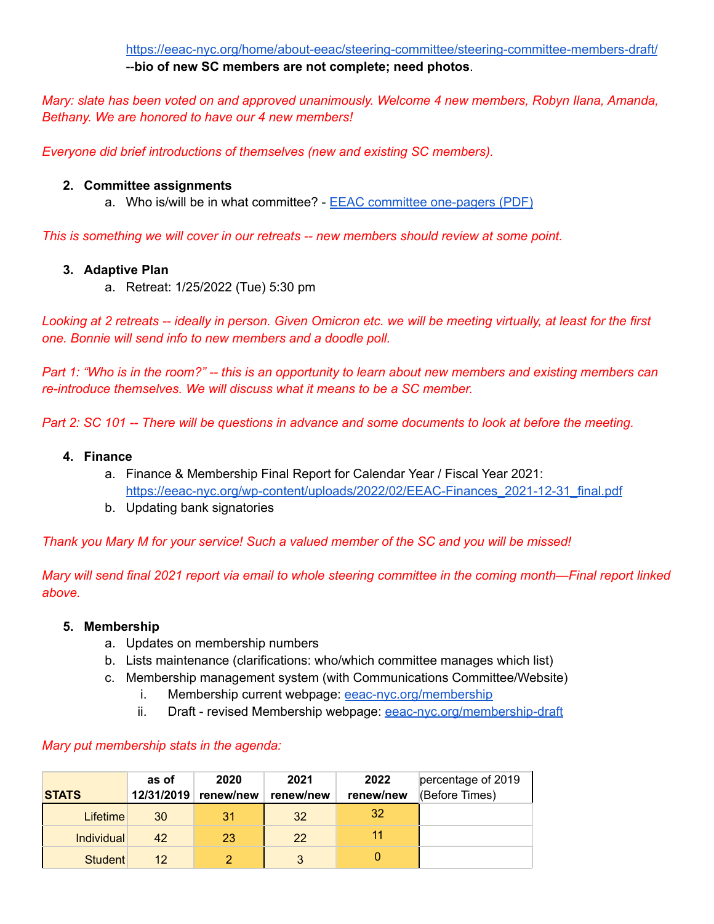<https://eeac-nyc.org/home/about-eeac/steering-committee/steering-committee-members-draft/> --**bio of new SC members are not complete; need photos**.

*Mary: slate has been voted on and approved unanimously. Welcome 4 new members, Robyn Ilana, Amanda, Bethany. We are honored to have our 4 new members!*

*Everyone did brief introductions of themselves (new and existing SC members).*

# **2. Committee assignments**

a. Who is/will be in what committee? - EEAC committee [one-pagers](https://eeac-nyc.org/wp-content/uploads/2022/02/EEAC-committee-one-pagers2021.pdf) (PDF)

*This is something we will cover in our retreats -- new members should review at some point.*

## **3. Adaptive Plan**

a. Retreat: 1/25/2022 (Tue) 5:30 pm

Looking at 2 retreats -- ideally in person. Given Omicron etc. we will be meeting virtually, at least for the first *one. Bonnie will send info to new members and a doodle poll.*

Part 1: "Who is in the room?" -- this is an opportunity to learn about new members and existing members can *re-introduce themselves. We will discuss what it means to be a SC member.*

Part 2: SC 101 -- There will be questions in advance and some documents to look at before the meeting.

#### **4. Finance**

- a. Finance & Membership Final Report for Calendar Year / Fiscal Year 2021: [https://eeac-nyc.org/wp-content/uploads/2022/02/EEAC-Finances\\_2021-12-31\\_final.pdf](https://eeac-nyc.org/wp-content/uploads/2022/02/EEAC-Finances_2021-12-31_final.pdf)
- b. Updating bank signatories

*Thank you Mary M for your service! Such a valued member of the SC and you will be missed!*

Mary will send final 2021 report via email to whole steering committee in the coming month—Final report linked *above.*

## **5. Membership**

- a. Updates on membership numbers
- b. Lists maintenance (clarifications: who/which committee manages which list)
- c. Membership management system (with Communications Committee/Website)
	- i. Membership current webpage: [eeac-nyc.org/membership](https://eeac-nyc.org/membership/)
	- ii. Draft revised Membership webpage: [eeac-nyc.org/membership-draft](https://eeac-nyc.org/membership-draft/)

## *Mary put membership stats in the agenda:*

| <b>STATS</b>      | as of | 2020<br>12/31/2019 renew/new | 2021<br>renew/new | 2022<br>renew/new | percentage of 2019<br>(Before Times) |
|-------------------|-------|------------------------------|-------------------|-------------------|--------------------------------------|
| <b>Lifetime</b>   | 30    | 31                           | 32                | 32                |                                      |
| <b>Individual</b> | 42    | 23                           | 22                |                   |                                      |
| <b>Student</b>    | 12    |                              | 3                 |                   |                                      |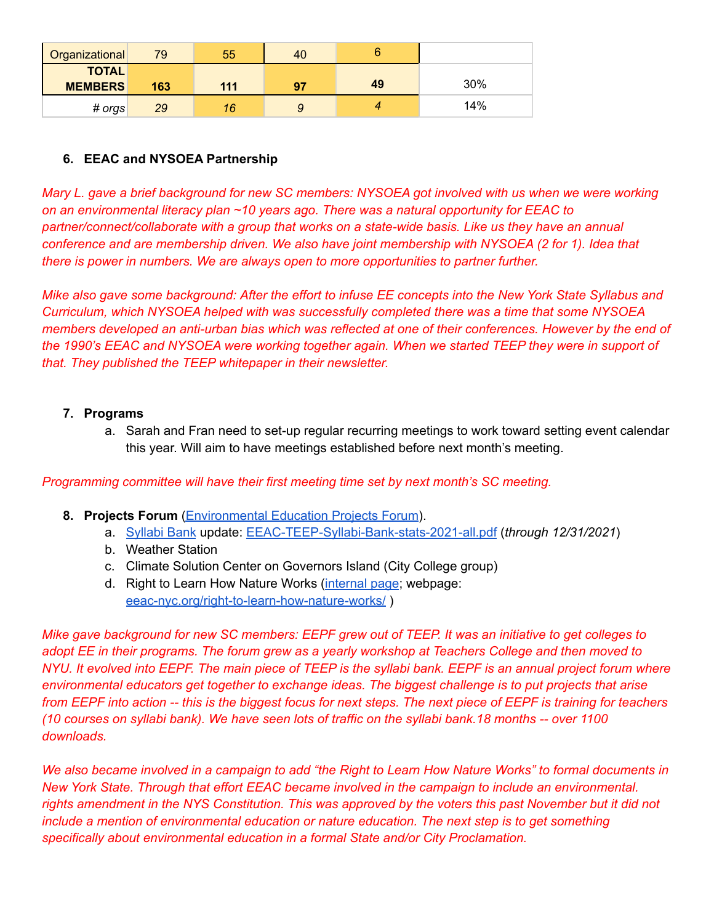| <b>Organizational</b>          | 79  | 55  | 40 |    |     |
|--------------------------------|-----|-----|----|----|-----|
| <b>TOTAL</b><br><b>MEMBERS</b> | 163 | 111 | 97 | 49 | 30% |
| # orgs                         | 29  | 16  |    |    | 14% |

# **6. EEAC and NYSOEA Partnership**

Mary L. gave a brief background for new SC members: NYSOEA got involved with us when we were working *on an environmental literacy plan ~10 years ago. There was a natural opportunity for EEAC to partner/connect/collaborate with a group that works on a state-wide basis. Like us they have an annual conference and are membership driven. We also have joint membership with NYSOEA (2 for 1). Idea that there is power in numbers. We are always open to more opportunities to partner further.*

Mike also gave some background: After the effort to infuse EE concepts into the New York State Syllabus and *Curriculum, which NYSOEA helped with was successfully completed there was a time that some NYSOEA* members developed an anti-urban bias which was reflected at one of their conferences. However by the end of the 1990's EEAC and NYSOEA were working together again. When we started TEEP they were in support of *that. They published the TEEP whitepaper in their newsletter.*

## **7. Programs**

a. Sarah and Fran need to set-up regular recurring meetings to work toward setting event calendar this year. Will aim to have meetings established before next month's meeting.

*Programming committee will have their first meeting time set by next month's SC meeting.*

- **8. Projects Forum** [\(Environmental](https://eeac-nyc.org/home/projects-partnerships/eepf-the-forum/) Education Projects Forum).
	- a. [Syllabi](https://eeac-nyc.org/syllabi-bank/) Bank update: [EEAC-TEEP-Syllabi-Bank-stats-2021-all.pdf](https://eeac-nyc.org/wp-content/uploads/2022/01/EEAC-TEEP-Syllabi-Bank-stats-2021-all.pdf) (*through 12/31/2021*)
	- b. Weather Station
	- c. Climate Solution Center on Governors Island (City College group)
	- d. Right to Learn How Nature Works ([internal](https://eeac-nyc.org/internal-item/environmental-education/) page; webpage: [eeac-nyc.org/right-to-learn-how-nature-works/](https://eeac-nyc.org/right-to-learn-how-nature-works/) )

Mike gave background for new SC members: EEPF grew out of TEEP. It was an initiative to get colleges to adopt EE in their programs. The forum grew as a yearly workshop at Teachers College and then moved to NYU. It evolved into EEPF. The main piece of TEEP is the syllabi bank. EEPF is an annual project forum where *environmental educators get together to exchange ideas. The biggest challenge is to put projects that arise* from EEPF into action -- this is the biggest focus for next steps. The next piece of EEPF is training for teachers (10 courses on syllabi bank). We have seen lots of traffic on the syllabi bank.18 months -- over 1100 *downloads.*

We also became involved in a campaign to add "the Right to Learn How Nature Works" to formal documents in *New York State. Through that effort EEAC became involved in the campaign to include an environmental.* rights amendment in the NYS Constitution. This was approved by the voters this past November but it did not *include a mention of environmental education or nature education. The next step is to get something specifically about environmental education in a formal State and/or City Proclamation.*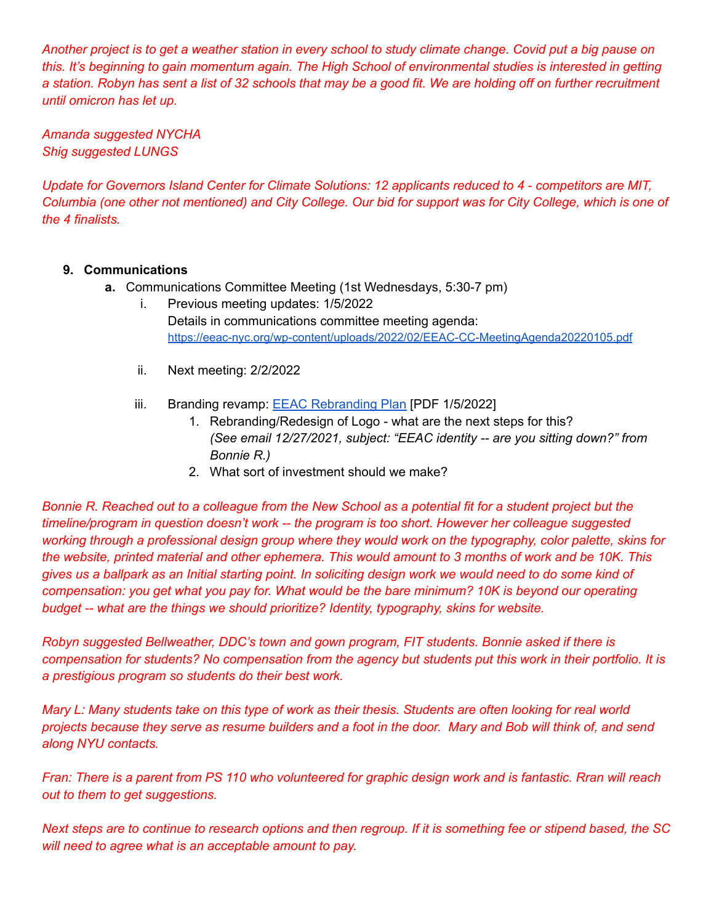Another project is to get a weather station in every school to study climate change. Covid put a big pause on this. It's beginning to gain momentum again. The High School of environmental studies is interested in getting a station. Robyn has sent a list of 32 schools that may be a good fit. We are holding off on further recruitment *until omicron has let up.*

*Amanda suggested NYCHA Shig suggested LUNGS*

Update for Governors Island Center for Climate Solutions: 12 applicants reduced to 4 - competitors are MIT, Columbia (one other not mentioned) and City College. Our bid for support was for City College, which is one of *the 4 finalists.*

# **9. Communications**

- **a.** Communications Committee Meeting (1st Wednesdays, 5:30-7 pm)
	- i. Previous meeting updates: 1/5/2022 Details in communications committee meeting agenda: <https://eeac-nyc.org/wp-content/uploads/2022/02/EEAC-CC-MeetingAgenda20220105.pdf>
	- ii. Next meeting: 2/2/2022
	- iii. Branding revamp: **EEAC [Rebranding](https://eeac-nyc.org/wp-content/uploads/2022/02/EEAC-Rebranding-Plan20220105.pdf) Plan [PDF 1/5/2022]** 
		- 1. Rebranding/Redesign of Logo what are the next steps for this? *(See email 12/27/2021, subject: "EEAC identity -- are you sitting down?" from Bonnie R.)*
		- 2. What sort of investment should we make?

Bonnie R. Reached out to a colleague from the New School as a potential fit for a student project but the *timeline/program in question doesn't work -- the program is too short. However her colleague suggested* working through a professional design group where they would work on the typography, color palette, skins for the website, printed material and other ephemera. This would amount to 3 months of work and be 10K. This gives us a ballpark as an Initial starting point. In soliciting design work we would need to do some kind of compensation: you get what you pay for. What would be the bare minimum? 10K is beyond our operating *budget -- what are the things we should prioritize? Identity, typography, skins for website.*

*Robyn suggested Bellweather, DDC's town and gown program, FIT students. Bonnie asked if there is* compensation for students? No compensation from the agency but students put this work in their portfolio. It is *a prestigious program so students do their best work.*

Mary L: Many students take on this type of work as their thesis. Students are often looking for real world projects because they serve as resume builders and a foot in the door. Mary and Bob will think of, and send *along NYU contacts.*

Fran: There is a parent from PS 110 who volunteered for graphic design work and is fantastic. Rran will reach *out to them to get suggestions.*

Next steps are to continue to research options and then regroup. If it is something fee or stipend based, the SC *will need to agree what is an acceptable amount to pay.*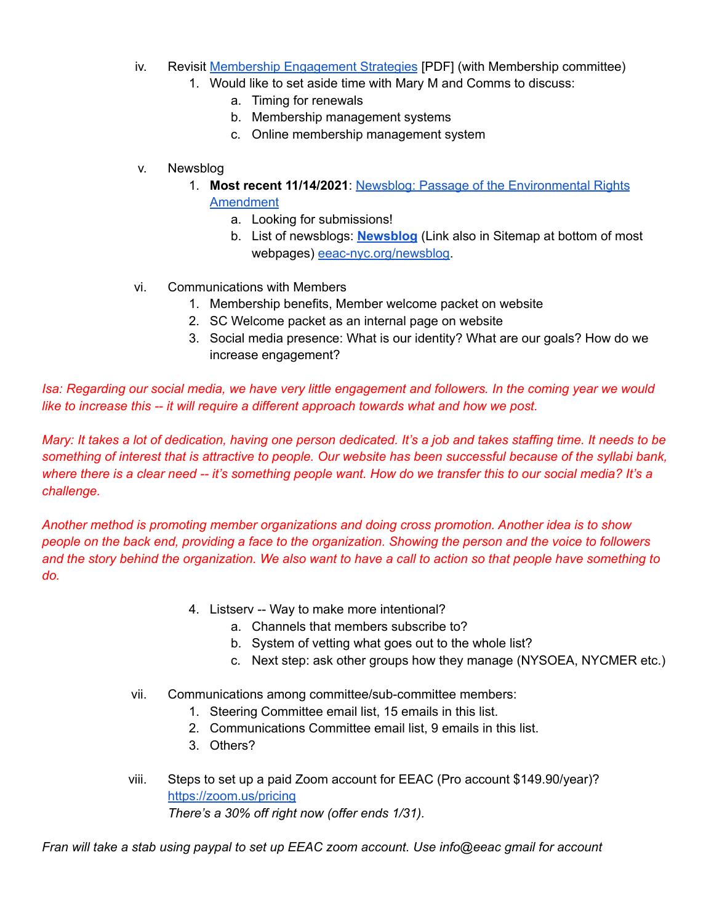- iv. Revisit Membership [Engagement](https://eeac-nyc.org/wp-content/uploads/2021/10/EEAC-Member-Engagement-Strategies.pdf) Strategies [PDF] (with Membership committee)
	- 1. Would like to set aside time with Mary M and Comms to discuss:
		- a. Timing for renewals
		- b. Membership management systems
		- c. Online membership management system
- v. Newsblog
	- 1. **Most recent 11/14/2021**: Newsblog: Passage of the [Environmental](https://eeac-nyc.org/2021/11/14/newsblog-passage-of-the-environmental-rights-amendment/) Rights [Amendment](https://eeac-nyc.org/2021/11/14/newsblog-passage-of-the-environmental-rights-amendment/)
		- a. Looking for submissions!
		- b. List of newsblogs: **[Newsblog](https://eeac-nyc.org/newsblog/)** (Link also in Sitemap at bottom of most webpages) [eeac-nyc.org/newsblog.](https://eeac-nyc.org/newsblog/)
- vi. Communications with Members
	- 1. Membership benefits, Member welcome packet on website
	- 2. SC Welcome packet as an internal page on website
	- 3. Social media presence: What is our identity? What are our goals? How do we increase engagement?

Isa: Regarding our social media, we have very little engagement and followers. In the coming year we would *like to increase this -- it will require a different approach towards what and how we post.*

Mary: It takes a lot of dedication, having one person dedicated. It's a job and takes staffing time. It needs to be something of interest that is attractive to people. Our website has been successful because of the syllabi bank, where there is a clear need -- it's something people want. How do we transfer this to our social media? It's a *challenge.*

*Another method is promoting member organizations and doing cross promotion. Another idea is to show* people on the back end, providing a face to the organization. Showing the person and the voice to followers and the story behind the organization. We also want to have a call to action so that people have something to *do.*

- 4. Listserv -- Way to make more intentional?
	- a. Channels that members subscribe to?
	- b. System of vetting what goes out to the whole list?
	- c. Next step: ask other groups how they manage (NYSOEA, NYCMER etc.)
- vii. Communications among committee/sub-committee members:
	- 1. Steering Committee email list, 15 emails in this list.
	- 2. Communications Committee email list, 9 emails in this list.
	- 3. Others?
- viii. Steps to set up a paid Zoom account for EEAC (Pro account \$149.90/year)? <https://zoom.us/pricing> *There's a 30% off right now (offer ends 1/31).*

*Fran will take a stab using paypal to set up EEAC zoom account. Use info@eeac gmail for account*